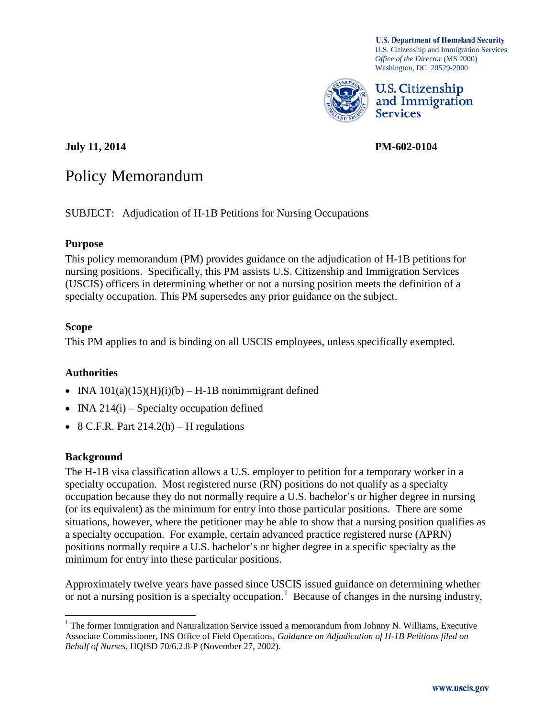**U.S. Department of Homeland Security** U.S. Citizenship and Immigration Services *Office of the Director* (MS 2000) Washington, DC 20529-2000



U.S. Citizenship and Immigration **Services** 

**July 11, 2014 PM-602-0104**

# Policy Memorandum

SUBJECT: Adjudication of H-1B Petitions for Nursing Occupations

## **Purpose**

This policy memorandum (PM) provides guidance on the adjudication of H-1B petitions for nursing positions. Specifically, this PM assists U.S. Citizenship and Immigration Services (USCIS) officers in determining whether or not a nursing position meets the definition of a specialty occupation. This PM supersedes any prior guidance on the subject.

## **Scope**

This PM applies to and is binding on all USCIS employees, unless specifically exempted.

## **Authorities**

- INA  $101(a)(15)(H)(i)(b) H-1B$  nonimmigrant defined
- INA  $214(i)$  Specialty occupation defined
- 8 C.F.R. Part  $214.2(h)$  H regulations

## **Background**

The H-1B visa classification allows a U.S. employer to petition for a temporary worker in a specialty occupation. Most registered nurse (RN) positions do not qualify as a specialty occupation because they do not normally require a U.S. bachelor's or higher degree in nursing (or its equivalent) as the minimum for entry into those particular positions. There are some situations, however, where the petitioner may be able to show that a nursing position qualifies as a specialty occupation. For example, certain advanced practice registered nurse (APRN) positions normally require a U.S. bachelor's or higher degree in a specific specialty as the minimum for entry into these particular positions.

Approximately twelve years have passed since USCIS issued guidance on determining whether or not a nursing position is a specialty occupation.<sup>[1](#page-0-0)</sup> Because of changes in the nursing industry,

<span id="page-0-0"></span> $1$  The former Immigration and Naturalization Service issued a memorandum from Johnny N. Williams, Executive Associate Commissioner, INS Office of Field Operations, *Guidance on Adjudication of H-1B Petitions filed on Behalf of Nurses*, HQISD 70/6.2.8-P (November 27, 2002).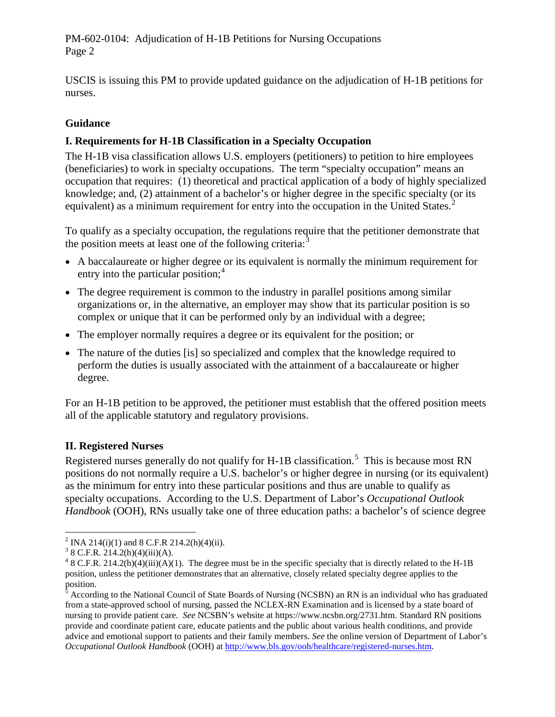USCIS is issuing this PM to provide updated guidance on the adjudication of H-1B petitions for nurses.

## **Guidance**

## **I. Requirements for H-1B Classification in a Specialty Occupation**

The H-1B visa classification allows U.S. employers (petitioners) to petition to hire employees (beneficiaries) to work in specialty occupations. The term "specialty occupation" means an occupation that requires: (1) theoretical and practical application of a body of highly specialized knowledge; and, (2) attainment of a bachelor's or higher degree in the specific specialty (or its equivalent) as a minimum requirement for entry into the occupation in the United States.<sup>[2](#page-1-0)</sup>

To qualify as a specialty occupation, the regulations require that the petitioner demonstrate that the position meets at least one of the following criteria: $\frac{3}{2}$  $\frac{3}{2}$  $\frac{3}{2}$ 

- A baccalaureate or higher degree or its equivalent is normally the minimum requirement for entry into the particular position; $4$
- The degree requirement is common to the industry in parallel positions among similar organizations or, in the alternative, an employer may show that its particular position is so complex or unique that it can be performed only by an individual with a degree;
- The employer normally requires a degree or its equivalent for the position; or
- The nature of the duties [is] so specialized and complex that the knowledge required to perform the duties is usually associated with the attainment of a baccalaureate or higher degree.

For an H-1B petition to be approved, the petitioner must establish that the offered position meets all of the applicable statutory and regulatory provisions.

# **II. Registered Nurses**

Registered nurses generally do not qualify for H-1B classification.<sup>[5](#page-1-3)</sup> This is because most RN positions do not normally require a U.S. bachelor's or higher degree in nursing (or its equivalent) as the minimum for entry into these particular positions and thus are unable to qualify as specialty occupations. According to the U.S. Department of Labor's *Occupational Outlook Handbook* (OOH), RNs usually take one of three education paths: a bachelor's of science degree

<span id="page-1-2"></span><span id="page-1-1"></span>

<span id="page-1-0"></span><sup>&</sup>lt;sup>2</sup> INA 214(i)(1) and 8 C.F.R 214.2(h)(4)(ii).<br><sup>3</sup> 8 C.F.R. 214.2(h)(4)(iii)(A).<br><sup>4</sup> 8 C.F.R. 214.2(h)(4)(iii)(A)(1). The degree must be in the specific specialty that is directly related to the H-1B position, unless the petitioner demonstrates that an alternative, closely related specialty degree applies to the position.

<span id="page-1-3"></span><sup>5</sup> According to the National Council of State Boards of Nursing (NCSBN) an RN is an individual who has graduated from a state-approved school of nursing, passed the NCLEX-RN Examination and is licensed by a state board of nursing to provide patient care. *See* NCSBN's website at https://www.ncsbn.org/2731.htm. Standard RN positions provide and coordinate patient care, educate patients and the public about various health conditions, and provide advice and emotional support to patients and their family members. *See* the online version of Department of Labor's *Occupational Outlook Handbook* (OOH) a[t http://www.bls.gov/ooh/healthcare/registered-nurses.htm.](http://www.bls.gov/ooh/healthcare/registered-nurses.htm)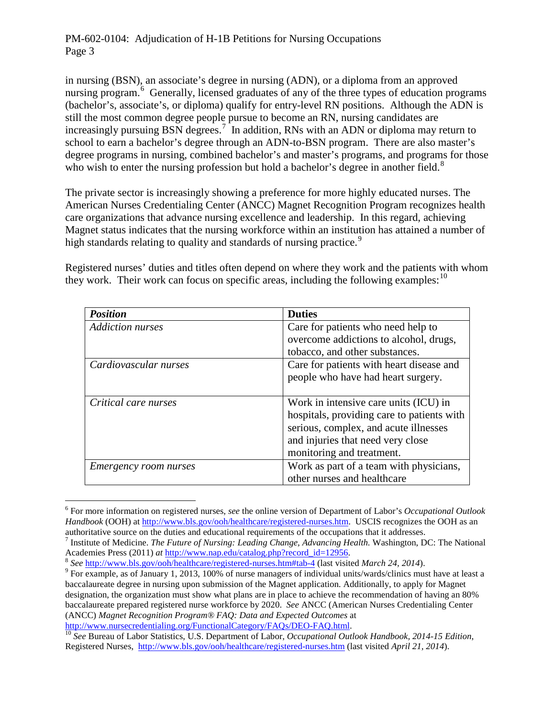in nursing (BSN), an associate's degree in nursing (ADN), or a diploma from an approved nursing program.<sup>[6](#page-2-0)</sup> Generally, licensed graduates of any of the three types of education programs (bachelor's, associate's, or diploma) qualify for entry-level RN positions. Although the ADN is still the most common degree people pursue to become an RN, nursing candidates are increasingly pursuing BSN degrees.<sup>[7](#page-2-1)</sup> In addition, RNs with an ADN or diploma may return to school to earn a bachelor's degree through an ADN-to-BSN program. There are also master's degree programs in nursing, combined bachelor's and master's programs, and programs for those who wish to enter the nursing profession but hold a bachelor's degree in another field.<sup>[8](#page-2-2)</sup>

The private sector is increasingly showing a preference for more highly educated nurses. The American Nurses Credentialing Center (ANCC) Magnet Recognition Program recognizes health care organizations that advance nursing excellence and leadership. In this regard, achieving Magnet status indicates that the nursing workforce within an institution has attained a number of high standards relating to quality and standards of nursing practice.<sup>[9](#page-2-3)</sup>

Registered nurses' duties and titles often depend on where they work and the patients with whom they work. Their work can focus on specific areas, including the following examples:  $10$ 

| <b>Position</b>              | <b>Duties</b>                              |
|------------------------------|--------------------------------------------|
| <b>Addiction nurses</b>      | Care for patients who need help to         |
|                              | overcome addictions to alcohol, drugs,     |
|                              | tobacco, and other substances.             |
| Cardiovascular nurses        | Care for patients with heart disease and   |
|                              | people who have had heart surgery.         |
|                              |                                            |
| Critical care nurses         | Work in intensive care units (ICU) in      |
|                              | hospitals, providing care to patients with |
|                              | serious, complex, and acute illnesses      |
|                              | and injuries that need very close          |
|                              | monitoring and treatment.                  |
| <i>Emergency room nurses</i> | Work as part of a team with physicians,    |
|                              | other nurses and healthcare                |

<span id="page-2-0"></span> <sup>6</sup> For more information on registered nurses, *see* the online version of Department of Labor's *Occupational Outlook Handbook* (OOH) a[t http://www.bls.gov/ooh/healthcare/registered-nurses.htm.](http://www.bls.gov/ooh/healthcare/registered-nurses.htm) USCIS recognizes the OOH as an authoritative source on the duties and educational requirements of the occupations that it addresses.

<span id="page-2-1"></span><sup>&</sup>lt;sup>7</sup> Institute of Medicine. *The Future of Nursing: Leading Change, Advancing Health.* Washington, DC: The National Academies Press (2011) *at* http://www.nap.edu/catalog.php?record\_id=12956.

<span id="page-2-2"></span> $\frac{8}{9}$  See [http://www.bls.gov/ooh/healthcare/registered-nurses.htm#tab-4](http://www.bls.gov/ooh/healthcare/registered-nurses.htm%23tab-4) (last visited *March 24, 2014*).<br><sup>9</sup> For example, as of January 1, 2013, 100% of nurse managers of individual units/wards/clinics must have at le

<span id="page-2-3"></span>baccalaureate degree in nursing upon submission of the Magnet application. Additionally, to apply for Magnet designation, the organization must show what plans are in place to achieve the recommendation of having an 80% baccalaureate prepared registered nurse workforce by 2020. *See* ANCC (American Nurses Credentialing Center (ANCC) *Magnet Recognition Program® FAQ: Data and Expected Outcomes* at

<span id="page-2-4"></span><sup>&</sup>lt;sup>10</sup> See Bureau of Labor Statistics, U.S. Department of Labor, *Occupational Outlook Handbook, 2014-15 Edition*, Registered Nurses, <http://www.bls.gov/ooh/healthcare/registered-nurses.htm> (last visited *April 21, 2014*).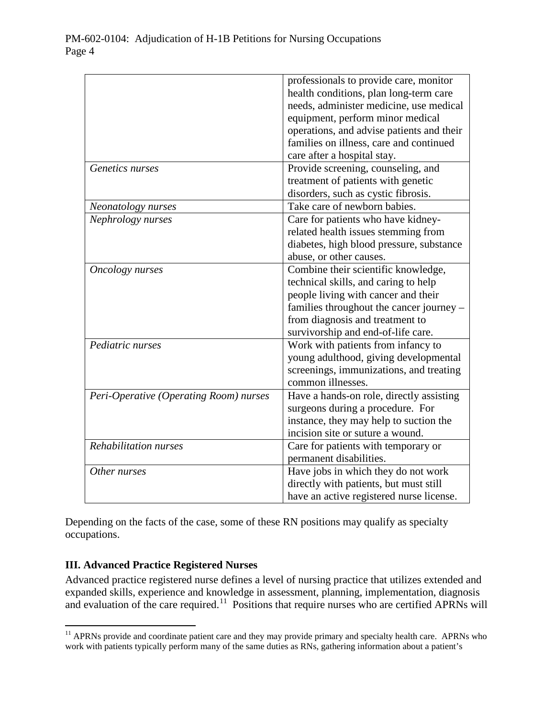|                                        | professionals to provide care, monitor    |
|----------------------------------------|-------------------------------------------|
|                                        | health conditions, plan long-term care    |
|                                        | needs, administer medicine, use medical   |
|                                        | equipment, perform minor medical          |
|                                        | operations, and advise patients and their |
|                                        | families on illness, care and continued   |
|                                        | care after a hospital stay.               |
| Genetics nurses                        | Provide screening, counseling, and        |
|                                        | treatment of patients with genetic        |
|                                        | disorders, such as cystic fibrosis.       |
| Neonatology nurses                     | Take care of newborn babies.              |
| Nephrology nurses                      | Care for patients who have kidney-        |
|                                        | related health issues stemming from       |
|                                        | diabetes, high blood pressure, substance  |
|                                        | abuse, or other causes.                   |
| Oncology nurses                        | Combine their scientific knowledge,       |
|                                        | technical skills, and caring to help      |
|                                        | people living with cancer and their       |
|                                        | families throughout the cancer journey -  |
|                                        | from diagnosis and treatment to           |
|                                        | survivorship and end-of-life care.        |
| Pediatric nurses                       | Work with patients from infancy to        |
|                                        | young adulthood, giving developmental     |
|                                        | screenings, immunizations, and treating   |
|                                        | common illnesses.                         |
| Peri-Operative (Operating Room) nurses | Have a hands-on role, directly assisting  |
|                                        | surgeons during a procedure. For          |
|                                        | instance, they may help to suction the    |
|                                        | incision site or suture a wound.          |
| Rehabilitation nurses                  | Care for patients with temporary or       |
|                                        | permanent disabilities.                   |
| Other nurses                           | Have jobs in which they do not work       |
|                                        | directly with patients, but must still    |
|                                        | have an active registered nurse license.  |

Depending on the facts of the case, some of these RN positions may qualify as specialty occupations.

# **III. Advanced Practice Registered Nurses**

Advanced practice registered nurse defines a level of nursing practice that utilizes extended and expanded skills, experience and knowledge in assessment, planning, implementation, diagnosis and evaluation of the care required.<sup>[11](#page-3-0)</sup> Positions that require nurses who are certified APRNs will

<span id="page-3-0"></span><sup>&</sup>lt;sup>11</sup> APRNs provide and coordinate patient care and they may provide primary and specialty health care. APRNs who work with patients typically perform many of the same duties as RNs, gathering information about a patient's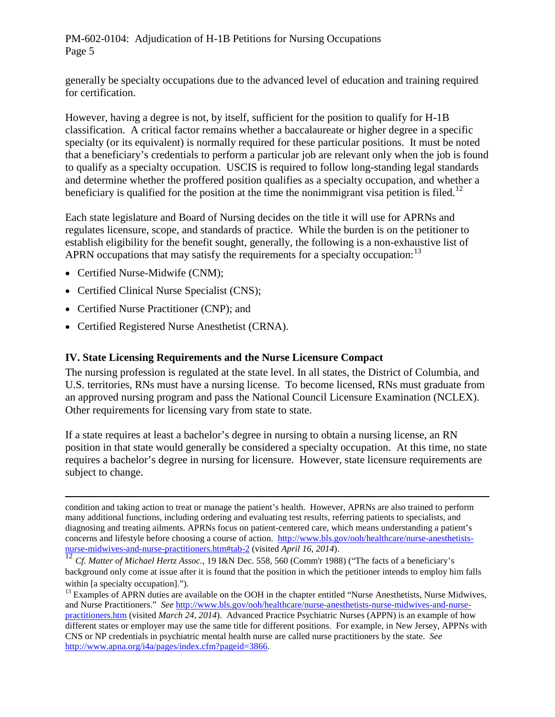generally be specialty occupations due to the advanced level of education and training required for certification.

However, having a degree is not, by itself, sufficient for the position to qualify for H-1B classification. A critical factor remains whether a baccalaureate or higher degree in a specific specialty (or its equivalent) is normally required for these particular positions. It must be noted that a beneficiary's credentials to perform a particular job are relevant only when the job is found to qualify as a specialty occupation. USCIS is required to follow long-standing legal standards and determine whether the proffered position qualifies as a specialty occupation, and whether a beneficiary is qualified for the position at the time the nonimmigrant visa petition is filed.<sup>[12](#page-4-0)</sup>

Each state legislature and Board of Nursing decides on the title it will use for APRNs and regulates licensure, scope, and standards of practice. While the burden is on the petitioner to establish eligibility for the benefit sought, generally, the following is a non-exhaustive list of APRN occupations that may satisfy the requirements for a specialty occupation:<sup>[13](#page-4-1)</sup>

- Certified Nurse-Midwife (CNM);
- Certified Clinical Nurse Specialist (CNS);
- Certified Nurse Practitioner (CNP); and
- Certified Registered Nurse Anesthetist (CRNA).

## **IV. State Licensing Requirements and the Nurse Licensure Compact**

The nursing profession is regulated at the state level. In all states, the District of Columbia, and U.S. territories, RNs must have a nursing license. To become licensed, RNs must graduate from an approved nursing program and pass the National Council Licensure Examination (NCLEX). Other requirements for licensing vary from state to state.

If a state requires at least a bachelor's degree in nursing to obtain a nursing license, an RN position in that state would generally be considered a specialty occupation. At this time, no state requires a bachelor's degree in nursing for licensure. However, state licensure requirements are subject to change.

 $\overline{a}$ condition and taking action to treat or manage the patient's health. However, APRNs are also trained to perform many additional functions, including ordering and evaluating test results, referring patients to specialists, and diagnosing and treating ailments. APRNs focus on patient-centered care, which means understanding a patient's concerns and lifestyle before choosing a course of action. [http://www.bls.gov/ooh/healthcare/nurse-anesthetists](http://www.bls.gov/ooh/healthcare/nurse-anesthetists-nurse-midwives-and-nurse-practitioners.htm#tab-2)[nurse-midwives-and-nurse-practitioners.htm#tab-2](http://www.bls.gov/ooh/healthcare/nurse-anesthetists-nurse-midwives-and-nurse-practitioners.htm#tab-2) (visited *April 16, 2014*).

<span id="page-4-0"></span><sup>12</sup> *Cf. Matter of Michael Hertz Assoc.*, 19 I&N Dec. 558, 560 (Comm'r 1988) ("The facts of a beneficiary's background only come at issue after it is found that the position in which the petitioner intends to employ him falls within [a specialty occupation].").

<span id="page-4-1"></span> $<sup>13</sup>$  Examples of APRN duties are available on the OOH in the chapter entitled "Nurse Anesthetists, Nurse Midwives,</sup> and Nurse Practitioners." *See* [http://www.bls.gov/ooh/healthcare/nurse-anesthetists-nurse-midwives-and-nurse](http://www.bls.gov/ooh/healthcare/nurse-anesthetists-nurse-midwives-and-nurse-practitioners.htm)[practitioners.htm](http://www.bls.gov/ooh/healthcare/nurse-anesthetists-nurse-midwives-and-nurse-practitioners.htm) (visited *March 24, 2014*). Advanced Practice Psychiatric Nurses (APPN) is an example of how different states or employer may use the same title for different positions. For example, in New Jersey, APPNs with CNS or NP credentials in psychiatric mental health nurse are called nurse practitioners by the state. *See* [http://www.apna.org/i4a/pages/index.cfm?pageid=3866.](http://www.apna.org/i4a/pages/index.cfm?pageid=3866)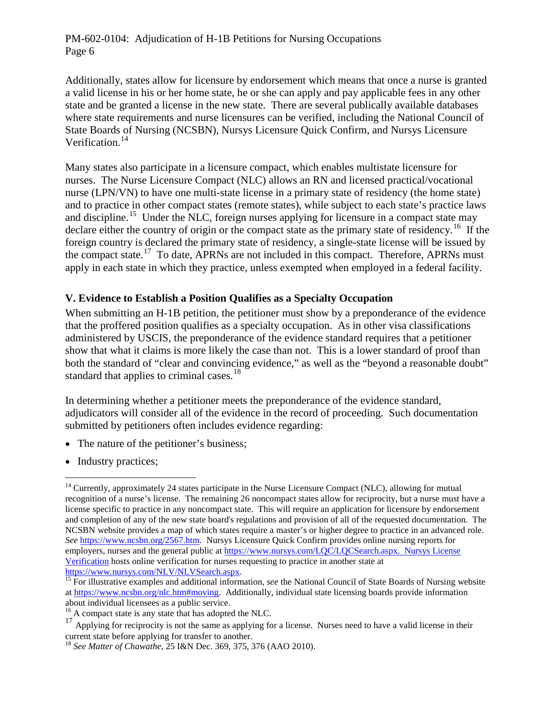Additionally, states allow for licensure by endorsement which means that once a nurse is granted a valid license in his or her home state, he or she can apply and pay applicable fees in any other state and be granted a license in the new state. There are several publically available databases where state requirements and nurse licensures can be verified, including the National Council of State Boards of Nursing (NCSBN), Nursys Licensure Quick Confirm, and Nursys Licensure Verification. [14](#page-5-0)

Many states also participate in a licensure compact, which enables multistate licensure for nurses. The Nurse Licensure Compact (NLC) allows an RN and licensed practical/vocational nurse (LPN/VN) to have one multi-state license in a primary state of residency (the home state) and to practice in other compact states (remote states), while subject to each state's practice laws and discipline.<sup>[15](#page-5-1)</sup> Under the NLC, foreign nurses applying for licensure in a compact state may declare either the country of origin or the compact state as the primary state of residency.<sup>[16](#page-5-2)</sup> If the foreign country is declared the primary state of residency, a single-state license will be issued by the compact state.[17](#page-5-3) To date, APRNs are not included in this compact. Therefore, APRNs must apply in each state in which they practice, unless exempted when employed in a federal facility.

## **V. Evidence to Establish a Position Qualifies as a Specialty Occupation**

When submitting an H-1B petition, the petitioner must show by a preponderance of the evidence that the proffered position qualifies as a specialty occupation. As in other visa classifications administered by USCIS, the preponderance of the evidence standard requires that a petitioner show that what it claims is more likely the case than not. This is a lower standard of proof than both the standard of "clear and convincing evidence," as well as the "beyond a reasonable doubt" standard that applies to criminal cases.<sup>[18](#page-5-4)</sup>

In determining whether a petitioner meets the preponderance of the evidence standard, adjudicators will consider all of the evidence in the record of proceeding. Such documentation submitted by petitioners often includes evidence regarding:

- The nature of the petitioner's business;
- Industry practices;

<span id="page-5-0"></span><sup>&</sup>lt;sup>14</sup> Currently, approximately 24 states participate in the Nurse Licensure Compact (NLC), allowing for mutual recognition of a nurse's license. The remaining 26 noncompact states allow for reciprocity, but a nurse must have a license specific to practice in any noncompact state. This will require an application for licensure by endorsement and completion of any of the new state board's regulations and provision of all of the requested documentation. The NCSBN website provides a map of which states require a master's or higher degree to practice in an advanced role. *See* [https://www.ncsbn.org/2567.htm.](https://www.ncsbn.org/2567.htm) Nursys Licensure Quick Confirm provides online nursing reports for employers, nurses and the general public a[t https://www.nursys.com/LQC/LQCSearch.aspx.](https://www.nursys.com/LQC/LQCSearch.aspx) Nursys License Verification hosts online verification for nurses requesting to practice in another state at [https://www.nursys.com/NLV/NLVSearch.aspx.](https://www.nursys.com/NLV/NLVSearch.aspx) <sup>15</sup> For illustrative examples and additional information, *see* the National Council of State Boards of Nursing website

<span id="page-5-1"></span>a[t https://www.ncsbn.org/nlc.htm#moving.](https://www.ncsbn.org/nlc.htm#moving) Additionally, individual state licensing boards provide information about individual licensees as a public service.

<sup>&</sup>lt;sup>16</sup> A compact state is any state that has adopted the NLC.

<span id="page-5-3"></span><span id="page-5-2"></span><sup>&</sup>lt;sup>17</sup> Applying for reciprocity is not the same as applying for a license. Nurses need to have a valid license in their current state before applying for transfer to another.

<span id="page-5-4"></span><sup>18</sup> *See Matter of Chawathe*, 25 I&N Dec. 369, 375, 376 (AAO 2010).